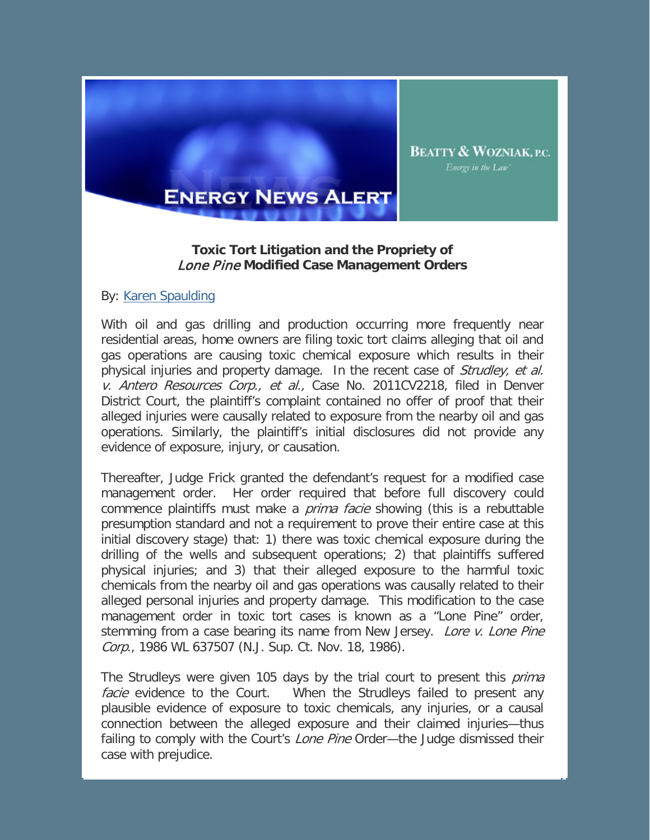

## **ENERGY NEWS ALERT**

## **Toxic Tort Litigation and the Propriety of**  Lone Pine **Modified Case Management Orders**

## By: Karen Spaulding

With oil and gas drilling and production occurring more frequently near residential areas, home owners are filing toxic tort claims alleging that oil and gas operations are causing toxic chemical exposure which results in their physical injuries and property damage. In the recent case of Strudley, et al. v. Antero Resources Corp., et al., Case No. 2011CV2218, filed in Denver District Court, the plaintiff's complaint contained no offer of proof that their alleged injuries were causally related to exposure from the nearby oil and gas operations. Similarly, the plaintiff's initial disclosures did not provide any evidence of exposure, injury, or causation.

Thereafter, Judge Frick granted the defendant's request for a modified case management order. Her order required that before full discovery could commence plaintiffs must make a *prima facie* showing (this is a rebuttable presumption standard and not a requirement to prove their entire case at this initial discovery stage) that: 1) there was toxic chemical exposure during the drilling of the wells and subsequent operations; 2) that plaintiffs suffered physical injuries; and 3) that their alleged exposure to the harmful toxic chemicals from the nearby oil and gas operations was causally related to their alleged personal injuries and property damage. This modification to the case management order in toxic tort cases is known as a "Lone Pine" order, stemming from a case bearing its name from New Jersey. *Lore v. Lone Pine* Corp., 1986 WL 637507 (N.J. Sup. Ct. Nov. 18, 1986).

The Strudleys were given 105 days by the trial court to present this *prima* facie evidence to the Court. When the Strudleys failed to present any plausible evidence of exposure to toxic chemicals, any injuries, or a causal connection between the alleged exposure and their claimed injuries—thus failing to comply with the Court's *Lone Pine* Order—the Judge dismissed their case with prejudice.